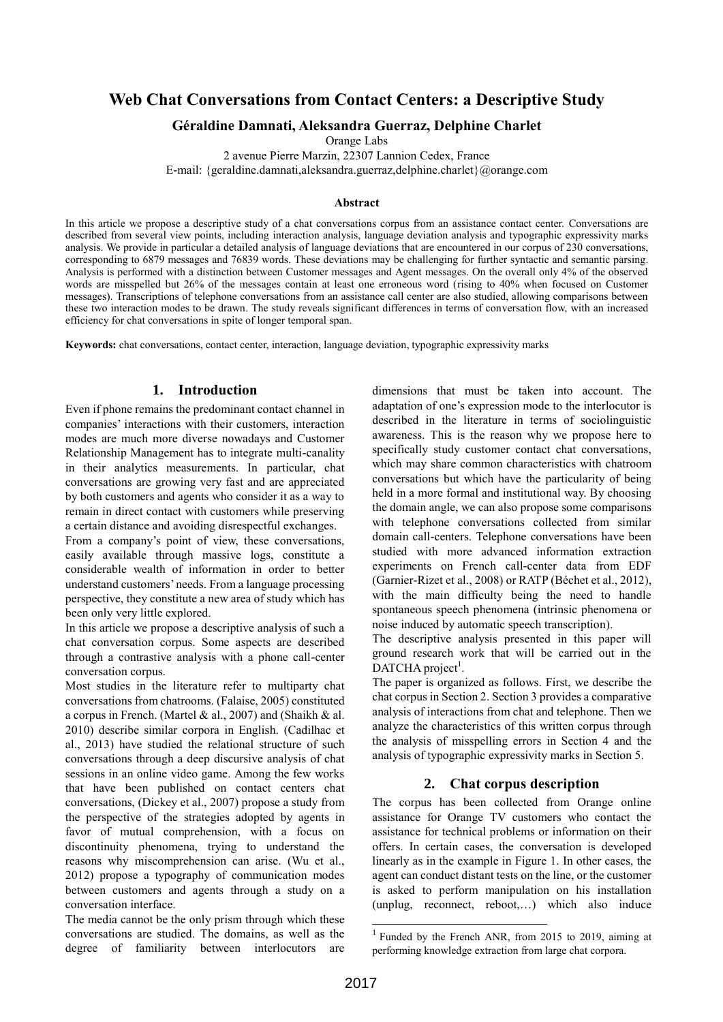# **Web Chat Conversations from Contact Centers: a Descriptive Study**

# **Géraldine Damnati, Aleksandra Guerraz, Delphine Charlet**

Orange Labs

2 avenue Pierre Marzin, 22307 Lannion Cedex, France

E-mail: {geraldine.damnati,aleksandra.guerraz,delphine.charlet}@orange.com

### **Abstract**

In this article we propose a descriptive study of a chat conversations corpus from an assistance contact center. Conversations are described from several view points, including interaction analysis, language deviation analysis and typographic expressivity marks analysis. We provide in particular a detailed analysis of language deviations that are encountered in our corpus of 230 conversations, corresponding to 6879 messages and 76839 words. These deviations may be challenging for further syntactic and semantic parsing. Analysis is performed with a distinction between Customer messages and Agent messages. On the overall only 4% of the observed words are misspelled but 26% of the messages contain at least one erroneous word (rising to 40% when focused on Customer messages). Transcriptions of telephone conversations from an assistance call center are also studied, allowing comparisons between these two interaction modes to be drawn. The study reveals significant differences in terms of conversation flow, with an increased efficiency for chat conversations in spite of longer temporal span.

**Keywords:** chat conversations, contact center, interaction, language deviation, typographic expressivity marks

# **1. Introduction**

Even if phone remains the predominant contact channel in companies' interactions with their customers, interaction modes are much more diverse nowadays and Customer Relationship Management has to integrate multi-canality in their analytics measurements. In particular, chat conversations are growing very fast and are appreciated by both customers and agents who consider it as a way to remain in direct contact with customers while preserving a certain distance and avoiding disrespectful exchanges.

From a company's point of view, these conversations, easily available through massive logs, constitute a considerable wealth of information in order to better understand customers' needs. From a language processing perspective, they constitute a new area of study which has been only very little explored.

In this article we propose a descriptive analysis of such a chat conversation corpus. Some aspects are described through a contrastive analysis with a phone call-center conversation corpus.

Most studies in the literature refer to multiparty chat conversations from chatrooms. (Falaise, 2005) constituted a corpus in French. (Martel & al., 2007) and (Shaikh & al. 2010) describe similar corpora in English. (Cadilhac et al., 2013) have studied the relational structure of such conversations through a deep discursive analysis of chat sessions in an online video game. Among the few works that have been published on contact centers chat conversations, (Dickey et al., 2007) propose a study from the perspective of the strategies adopted by agents in favor of mutual comprehension, with a focus on discontinuity phenomena, trying to understand the reasons why miscomprehension can arise. (Wu et al., 2012) propose a typography of communication modes between customers and agents through a study on a conversation interface.

The media cannot be the only prism through which these conversations are studied. The domains, as well as the degree of familiarity between interlocutors are

dimensions that must be taken into account. The adaptation of one's expression mode to the interlocutor is described in the literature in terms of sociolinguistic awareness. This is the reason why we propose here to specifically study customer contact chat conversations, which may share common characteristics with chatroom conversations but which have the particularity of being held in a more formal and institutional way. By choosing the domain angle, we can also propose some comparisons with telephone conversations collected from similar domain call-centers. Telephone conversations have been studied with more advanced information extraction experiments on French call-center data from EDF (Garnier-Rizet et al., 2008) or RATP (Béchet et al., 2012), with the main difficulty being the need to handle spontaneous speech phenomena (intrinsic phenomena or noise induced by automatic speech transcription).

The descriptive analysis presented in this paper will ground research work that will be carried out in the  $DATA project<sup>1</sup>$ .

The paper is organized as follows. First, we describe the chat corpus in Section 2. Section 3 provides a comparative analysis of interactions from chat and telephone. Then we analyze the characteristics of this written corpus through the analysis of misspelling errors in Section 4 and the analysis of typographic expressivity marks in Section 5.

### **2. Chat corpus description**

The corpus has been collected from Orange online assistance for Orange TV customers who contact the assistance for technical problems or information on their offers. In certain cases, the conversation is developed linearly as in the example in Figure 1. In other cases, the agent can conduct distant tests on the line, or the customer is asked to perform manipulation on his installation (unplug, reconnect, reboot,…) which also induce

1

<sup>1</sup> Funded by the French ANR, from 2015 to 2019, aiming at performing knowledge extraction from large chat corpora.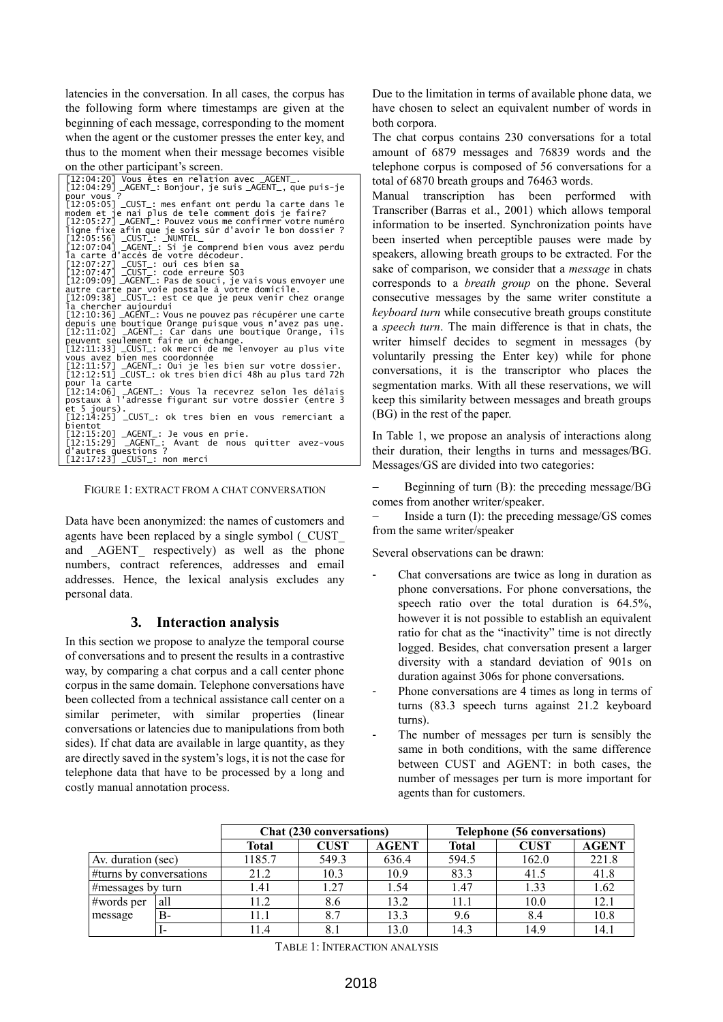latencies in the conversation. In all cases, the corpus has the following form where timestamps are given at the beginning of each message, corresponding to the moment when the agent or the customer presses the enter key, and thus to the moment when their message becomes visible on the other participant's screen.

[12:04:20] Vous êtes en relation avec \_AGENT\_. [12:04:29] \_AGENT\_: Bonjour, je suis \_AGENT\_, que puis-je pour vous ?<br>[12:05:05] \_CUST\_: mes enfant ont perdu la carte dans le<br>[12:05:05] \_CUST\_: mes enfant ont perdu la faire? [12:05:05] \_CUST\_: mes enfant ont perdu la carte dans le<br>modem et je nai plus de tele comment dois je faire?<br>[12:05:27] \_AGENT\_: Pouvez vous me confirmer votre numéro<br>ligne fixe afin que je sois sûr d'avoir le bon dossier? [12:10:36] \_AGENT\_: Vous ne pouvez pas récupérer une carte<br>depuis une boutique Orange puisque vous n'avez pas une.<br>[12:11:02] \_AGENT\_: Car dans une boutique Orange, ils<br>peuvent seulement faire un échange.<br>[12:11:33] \_CUST\_ pour la carte [12:14:06] \_AGENT\_: Vous la recevrez selon les délais postaux à l'adresse figurant sur votre dossier (entre 3 et 5 jours). postaak allesse rigurant sur volle dossier (entre 3<br>et 5 jours).<br>[12:14:25] \_CUST\_: ok tres bien en vous remerciant a bientot<br>[12:15:20] 、.......<br>[12:15:20] \_AGENT\_: Je vous en prie.<br>[12:15:29] \_AGENT\_: Avant de nous [12:15:29] \_AGENT\_: Avant de nous quitter avez-vous<br>d'autres questions ?<br>[12:17:23] \_CUST\_: non merci

FIGURE 1: EXTRACT FROM A CHAT CONVERSATION

Data have been anonymized: the names of customers and agents have been replaced by a single symbol (\_CUST\_ and AGENT<sub></sub> respectively) as well as the phone numbers, contract references, addresses and email addresses. Hence, the lexical analysis excludes any personal data.

### **3. Interaction analysis**

In this section we propose to analyze the temporal course of conversations and to present the results in a contrastive way, by comparing a chat corpus and a call center phone corpus in the same domain. Telephone conversations have been collected from a technical assistance call center on a similar perimeter, with similar properties (linear conversations or latencies due to manipulations from both sides). If chat data are available in large quantity, as they are directly saved in the system's logs, it is not the case for telephone data that have to be processed by a long and costly manual annotation process.

Due to the limitation in terms of available phone data, we have chosen to select an equivalent number of words in both corpora.

The chat corpus contains 230 conversations for a total amount of 6879 messages and 76839 words and the telephone corpus is composed of 56 conversations for a total of 6870 breath groups and 76463 words.

Manual transcription has been performed with Transcriber (Barras et al., 2001) which allows temporal information to be inserted. Synchronization points have been inserted when perceptible pauses were made by speakers, allowing breath groups to be extracted. For the sake of comparison, we consider that a *message* in chats corresponds to a *breath group* on the phone. Several consecutive messages by the same writer constitute a *keyboard turn* while consecutive breath groups constitute a *speech turn*. The main difference is that in chats, the writer himself decides to segment in messages (by voluntarily pressing the Enter key) while for phone conversations, it is the transcriptor who places the segmentation marks. With all these reservations, we will keep this similarity between messages and breath groups (BG) in the rest of the paper.

In Table 1, we propose an analysis of interactions along their duration, their lengths in turns and messages/BG. Messages/GS are divided into two categories:

 Beginning of turn (B): the preceding message/BG comes from another writer/speaker.

 Inside a turn (I): the preceding message/GS comes from the same writer/speaker

Several observations can be drawn:

- Chat conversations are twice as long in duration as phone conversations. For phone conversations, the speech ratio over the total duration is 64.5%, however it is not possible to establish an equivalent ratio for chat as the "inactivity" time is not directly logged. Besides, chat conversation present a larger diversity with a standard deviation of 901s on duration against 306s for phone conversations.
- Phone conversations are 4 times as long in terms of turns (83.3 speech turns against 21.2 keyboard turns).
- The number of messages per turn is sensibly the same in both conditions, with the same difference between CUST and AGENT: in both cases, the number of messages per turn is more important for agents than for customers.

|                         |       | <b>Chat (230 conversations)</b> |             |              | <b>Telephone (56 conversations)</b> |             |              |
|-------------------------|-------|---------------------------------|-------------|--------------|-------------------------------------|-------------|--------------|
|                         |       | Total                           | <b>CUST</b> | <b>AGENT</b> | <b>Total</b>                        | <b>CUST</b> | <b>AGENT</b> |
| Av. duration (sec)      |       | 1185.7                          | 549.3       | 636.4        | 594.5                               | 162.0       | 221.8        |
| #turns by conversations |       | 21.2                            | 10.3        | 10.9         | 83.3                                | 41.5        | 41.8         |
| #messages by turn       |       | 1.41                            | . 27        | 1.54         | 1.47                                | 1.33        | 1.62         |
| #words per              | 'all  | 11.2                            | 8.6         | 13.2         | 11 1                                | 10.0        | 12.1         |
| message                 | $B -$ | 11.1                            | 8.7         | 13.3         | 9.6                                 | 8.4         | 10.8         |
|                         |       | 11.4                            |             | 13.0         | 14.3                                | 14.9        | 14.          |

TABLE 1: INTERACTION ANALYSIS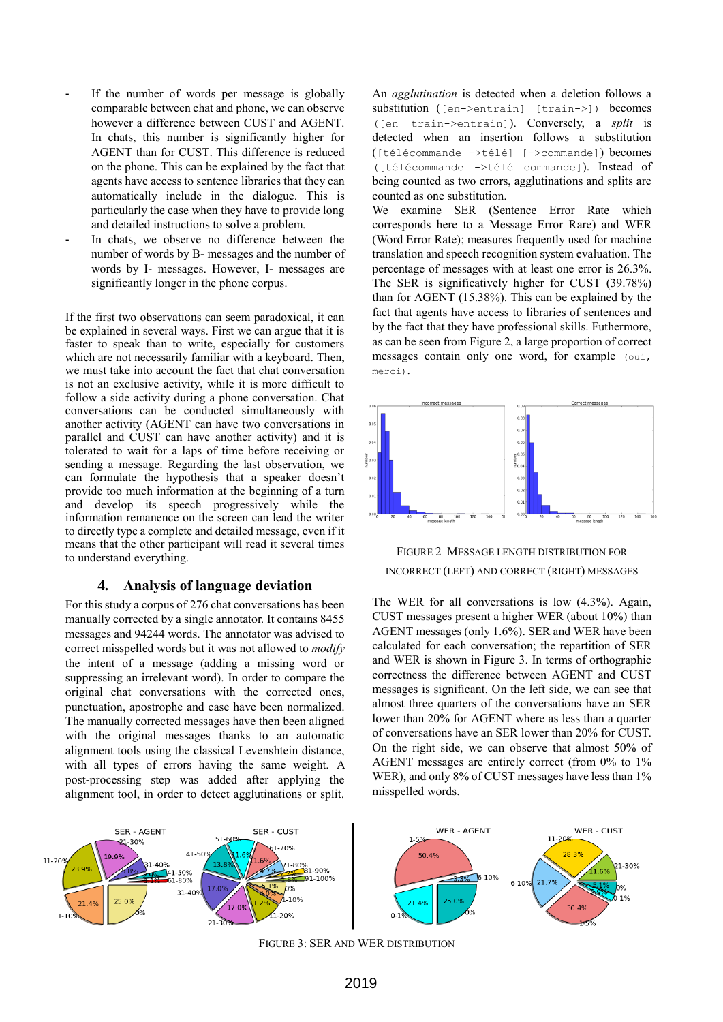- If the number of words per message is globally comparable between chat and phone, we can observe however a difference between CUST and AGENT. In chats, this number is significantly higher for AGENT than for CUST. This difference is reduced on the phone. This can be explained by the fact that agents have access to sentence libraries that they can automatically include in the dialogue. This is particularly the case when they have to provide long and detailed instructions to solve a problem.
- In chats, we observe no difference between the number of words by B- messages and the number of words by I- messages. However, I- messages are significantly longer in the phone corpus.

If the first two observations can seem paradoxical, it can be explained in several ways. First we can argue that it is faster to speak than to write, especially for customers which are not necessarily familiar with a keyboard. Then, we must take into account the fact that chat conversation is not an exclusive activity, while it is more difficult to follow a side activity during a phone conversation. Chat conversations can be conducted simultaneously with another activity (AGENT can have two conversations in parallel and CUST can have another activity) and it is tolerated to wait for a laps of time before receiving or sending a message. Regarding the last observation, we can formulate the hypothesis that a speaker doesn't provide too much information at the beginning of a turn and develop its speech progressively while the information remanence on the screen can lead the writer to directly type a complete and detailed message, even if it means that the other participant will read it several times to understand everything.

#### **4. Analysis of language deviation**

For this study a corpus of 276 chat conversations has been manually corrected by a single annotator. It contains 8455 messages and 94244 words. The annotator was advised to correct misspelled words but it was not allowed to *modify* the intent of a message (adding a missing word or suppressing an irrelevant word). In order to compare the original chat conversations with the corrected ones, punctuation, apostrophe and case have been normalized. The manually corrected messages have then been aligned with the original messages thanks to an automatic alignment tools using the classical Levenshtein distance, with all types of errors having the same weight. A post-processing step was added after applying the alignment tool, in order to detect agglutinations or split.

An *agglutination* is detected when a deletion follows a substitution ([en->entrain] [train->]) becomes ([en train->entrain]). Conversely, a *split* is detected when an insertion follows a substitution ([télécommande ->télé] [->commande]) becomes ([télécommande ->télé commande]). Instead of being counted as two errors, agglutinations and splits are counted as one substitution.

We examine SER (Sentence Error Rate which corresponds here to a Message Error Rare) and WER (Word Error Rate); measures frequently used for machine translation and speech recognition system evaluation. The percentage of messages with at least one error is 26.3%. The SER is significatively higher for CUST (39.78%) than for AGENT (15.38%). This can be explained by the fact that agents have access to libraries of sentences and by the fact that they have professional skills. Futhermore, as can be seen from [Figure 2,](#page-2-0) a large proportion of correct messages contain only one word, for example (oui, merci).



<span id="page-2-0"></span>

The WER for all conversations is low (4.3%). Again, CUST messages present a higher WER (about 10%) than AGENT messages (only 1.6%). SER and WER have been calculated for each conversation; the repartition of SER and WER is shown in [Figure 3.](#page-2-1) In terms of orthographic correctness the difference between AGENT and CUST messages is significant. On the left side, we can see that almost three quarters of the conversations have an SER lower than 20% for AGENT where as less than a quarter of conversations have an SER lower than 20% for CUST. On the right side, we can observe that almost 50% of AGENT messages are entirely correct (from 0% to 1% WER), and only 8% of CUST messages have less than 1% misspelled words.

<span id="page-2-1"></span>

FIGURE 3: SER AND WER DISTRIBUTION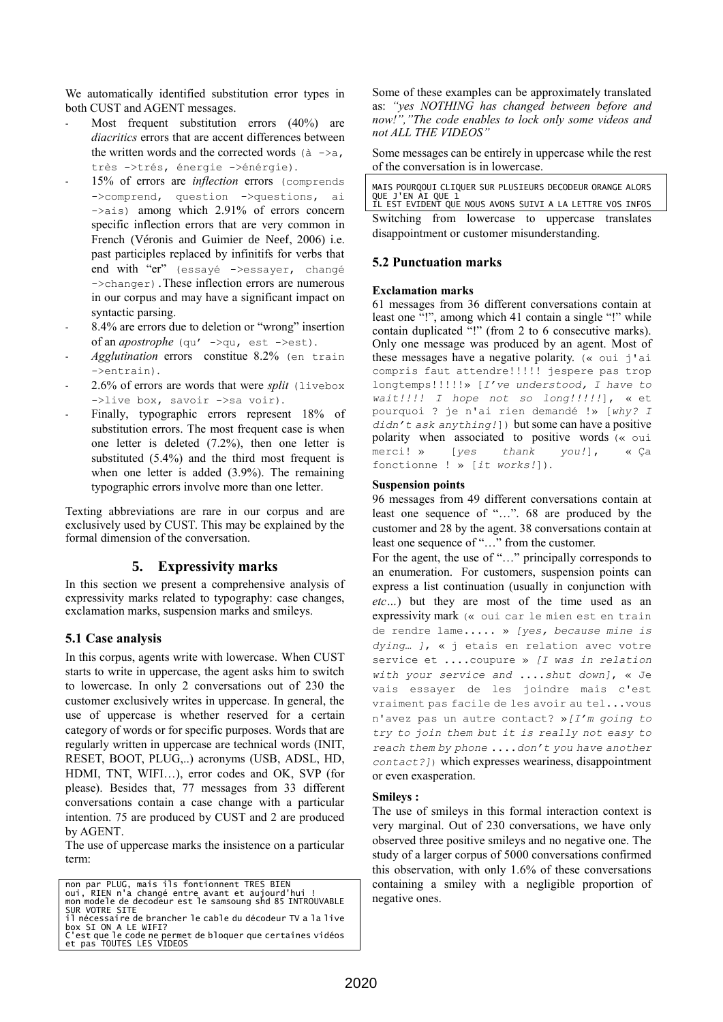We automatically identified substitution error types in both CUST and AGENT messages.

- Most frequent substitution errors  $(40\%)$  are *diacritics* errors that are accent differences between the written words and the corrected words  $(a \rightarrow a,$ très ->trés, énergie ->énérgie).
- 15% of errors are *inflection* errors (comprends ->comprend, question ->questions, ai  $\rightarrow$ ais) among which 2.91% of errors concern specific inflection errors that are very common in French (Véronis and Guimier de Neef, 2006) i.e. past participles replaced by infinitifs for verbs that end with "er" (essayé ->essayer, changé ->changer).These inflection errors are numerous in our corpus and may have a significant impact on syntactic parsing.
- 8.4% are errors due to deletion or "wrong" insertion of an *apostrophe* (qu' ->qu, est ->est).
- Agglutination errors constitue 8.2% (en train ->entrain).
- 2.6% of errors are words that were *split* (livebox ->live box, savoir ->sa voir).
- Finally, typographic errors represent 18% of substitution errors. The most frequent case is when one letter is deleted (7.2%), then one letter is substituted (5.4%) and the third most frequent is when one letter is added (3.9%). The remaining typographic errors involve more than one letter.

Texting abbreviations are rare in our corpus and are exclusively used by CUST. This may be explained by the formal dimension of the conversation.

# **5. Expressivity marks**

In this section we present a comprehensive analysis of expressivity marks related to typography: case changes, exclamation marks, suspension marks and smileys.

# **5.1 Case analysis**

In this corpus, agents write with lowercase. When CUST starts to write in uppercase, the agent asks him to switch to lowercase. In only 2 conversations out of 230 the customer exclusively writes in uppercase. In general, the use of uppercase is whether reserved for a certain category of words or for specific purposes. Words that are regularly written in uppercase are technical words (INIT, RESET, BOOT, PLUG,..) acronyms (USB, ADSL, HD, HDMI, TNT, WIFI…), error codes and OK, SVP (for please). Besides that, 77 messages from 33 different conversations contain a case change with a particular intention. 75 are produced by CUST and 2 are produced by AGENT.

The use of uppercase marks the insistence on a particular term:

non par PLUG, mais ils fontionnent TRES BIEN oui, RIEN n'a changé entre avant et aujourd'hui ! mon modele de decodeur est le samsoung shd 85 INTROUVABLE SUR VOTRE SITE il nécessaire de brancher le cable du décodeur TV a la live<br>box SI ON A LE WIFI?<br>C'est que le code ne permet de bloquer que certaines vidéos<br>et pas TOUTES LES VIDEOS

Some of these examples can be approximately translated as: *"yes NOTHING has changed between before and now!","The code enables to lock only some videos and not ALL THE VIDEOS"*

Some messages can be entirely in uppercase while the rest of the conversation is in lowercase.

| MAIS POURQOUI CLIQUER SUR PLUSIEURS DECODEUR ORANGE ALORS<br>QUE J'EN AI QUE 1 |  |  |  |                                                           |  |  |
|--------------------------------------------------------------------------------|--|--|--|-----------------------------------------------------------|--|--|
|                                                                                |  |  |  | IL EST EVIDENT OUE NOUS AVONS SUIVI A LA LETTRE VOS INFOS |  |  |
|                                                                                |  |  |  | Switching from lowercase to uppercase translates          |  |  |
| disappointment or customer misunderstanding.                                   |  |  |  |                                                           |  |  |

### **5.2 Punctuation marks**

#### **Exclamation marks**

61 messages from 36 different conversations contain at least one "!", among which 41 contain a single "!" while contain duplicated "!" (from 2 to 6 consecutive marks). Only one message was produced by an agent. Most of these messages have a negative polarity.  $(\alpha)$  oui j'ai compris faut attendre!!!!! jespere pas trop longtemps!!!!!» [*I've understood, I have to wait!!!! I hope not so long!!!!!*], « et pourquoi ? je n'ai rien demandé !» [*why? I didn't ask anything!*]) but some can have a positive polarity when associated to positive words (« oui merci! » [*yes thank you!*], « Ça fonctionne ! » [*it works!*]).

#### **Suspension points**

96 messages from 49 different conversations contain at least one sequence of "…". 68 are produced by the customer and 28 by the agent. 38 conversations contain at least one sequence of "…" from the customer.

For the agent, the use of "..." principally corresponds to an enumeration. For customers, suspension points can express a list continuation (usually in conjunction with *etc…*) but they are most of the time used as an expressivity mark (« oui car le mien est en train de rendre lame..... » *[yes, because mine is dying… ]*, « j etais en relation avec votre service et ....coupure » *[I was in relation with your service and* ....*shut down]*, « Je vais essayer de les joindre mais c'est vraiment pas facile de les avoir au tel...vous n'avez pas un autre contact? »*[I'm going to try to join them but it is really not easy to reach them by phone* ....*don't you have another contact?]*) which expresses weariness, disappointment or even exasperation.

### **Smileys :**

The use of smileys in this formal interaction context is very marginal. Out of 230 conversations, we have only observed three positive smileys and no negative one. The study of a larger corpus of 5000 conversations confirmed this observation, with only 1.6% of these conversations containing a smiley with a negligible proportion of negative ones.